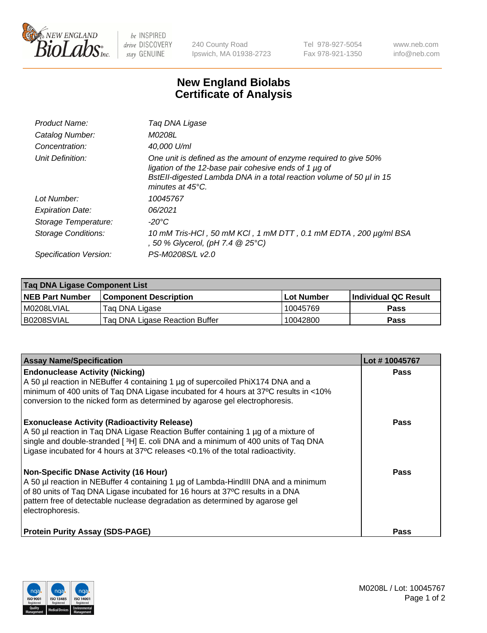

 $be$  INSPIRED drive DISCOVERY stay GENUINE

240 County Road Ipswich, MA 01938-2723 Tel 978-927-5054 Fax 978-921-1350 www.neb.com info@neb.com

## **New England Biolabs Certificate of Analysis**

| Product Name:              | Tag DNA Ligase                                                                                                                                                                                                        |
|----------------------------|-----------------------------------------------------------------------------------------------------------------------------------------------------------------------------------------------------------------------|
| Catalog Number:            | M0208L                                                                                                                                                                                                                |
| Concentration:             | 40,000 U/ml                                                                                                                                                                                                           |
| Unit Definition:           | One unit is defined as the amount of enzyme required to give 50%<br>ligation of the 12-base pair cohesive ends of 1 µg of<br>BstEll-digested Lambda DNA in a total reaction volume of 50 µl in 15<br>minutes at 45°C. |
| Lot Number:                | 10045767                                                                                                                                                                                                              |
| <b>Expiration Date:</b>    | 06/2021                                                                                                                                                                                                               |
| Storage Temperature:       | -20°C                                                                                                                                                                                                                 |
| <b>Storage Conditions:</b> | 10 mM Tris-HCl, 50 mM KCl, 1 mM DTT, 0.1 mM EDTA, 200 µg/ml BSA<br>, 50 % Glycerol, (pH 7.4 @ 25°C)                                                                                                                   |
| Specification Version:     | PS-M0208S/L v2.0                                                                                                                                                                                                      |

| Taq DNA Ligase Component List |                                |            |                      |  |
|-------------------------------|--------------------------------|------------|----------------------|--|
| <b>NEB Part Number</b>        | <b>Component Description</b>   | Lot Number | Individual QC Result |  |
| I M0208LVIAL                  | Tag DNA Ligase                 | 10045769   | <b>Pass</b>          |  |
| B0208SVIAL                    | Taq DNA Ligase Reaction Buffer | 10042800   | Pass                 |  |

| <b>Assay Name/Specification</b>                                                                                                                                                                                                                                                                                         | Lot #10045767 |
|-------------------------------------------------------------------------------------------------------------------------------------------------------------------------------------------------------------------------------------------------------------------------------------------------------------------------|---------------|
| <b>Endonuclease Activity (Nicking)</b><br>A 50 µl reaction in NEBuffer 4 containing 1 µg of supercoiled PhiX174 DNA and a<br>minimum of 400 units of Taq DNA Ligase incubated for 4 hours at 37°C results in <10%<br>conversion to the nicked form as determined by agarose gel electrophoresis.                        | <b>Pass</b>   |
| <b>Exonuclease Activity (Radioactivity Release)</b><br>A 50 µl reaction in Taq DNA Ligase Reaction Buffer containing 1 µg of a mixture of<br>single and double-stranded [3H] E. coli DNA and a minimum of 400 units of Taq DNA<br>Ligase incubated for 4 hours at 37°C releases <0.1% of the total radioactivity.       | <b>Pass</b>   |
| <b>Non-Specific DNase Activity (16 Hour)</b><br>A 50 µl reaction in NEBuffer 4 containing 1 µg of Lambda-HindIII DNA and a minimum<br>of 80 units of Taq DNA Ligase incubated for 16 hours at 37°C results in a DNA<br>pattern free of detectable nuclease degradation as determined by agarose gel<br>electrophoresis. | <b>Pass</b>   |
| <b>Protein Purity Assay (SDS-PAGE)</b>                                                                                                                                                                                                                                                                                  | <b>Pass</b>   |